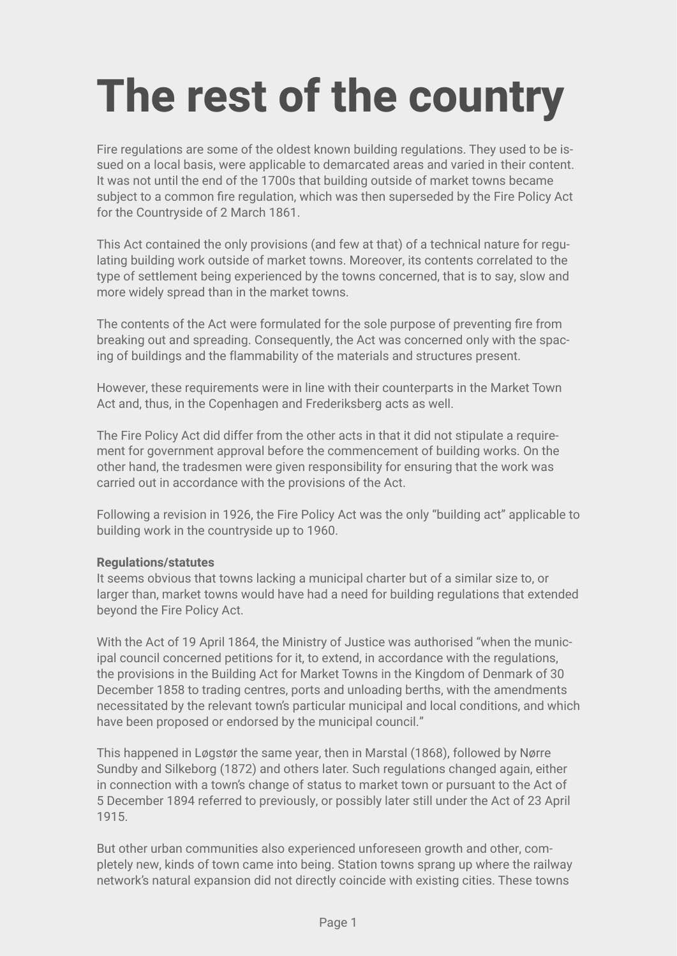## **The rest of the country**

Fire regulations are some of the oldest known building regulations. They used to be issued on a local basis, were applicable to demarcated areas and varied in their content. It was not until the end of the 1700s that building outside of market towns became subject to a common fire regulation, which was then superseded by the Fire Policy Act for the Countryside of 2 March 1861.

This Act contained the only provisions (and few at that) of a technical nature for regulating building work outside of market towns. Moreover, its contents correlated to the type of settlement being experienced by the towns concerned, that is to say, slow and more widely spread than in the market towns.

The contents of the Act were formulated for the sole purpose of preventing fire from breaking out and spreading. Consequently, the Act was concerned only with the spacing of buildings and the flammability of the materials and structures present.

However, these requirements were in line with their counterparts in the Market Town Act and, thus, in the Copenhagen and Frederiksberg acts as well.

The Fire Policy Act did differ from the other acts in that it did not stipulate a requirement for government approval before the commencement of building works. On the other hand, the tradesmen were given responsibility for ensuring that the work was carried out in accordance with the provisions of the Act.

Following a revision in 1926, the Fire Policy Act was the only "building act" applicable to building work in the countryside up to 1960.

## **Regulations/statutes**

It seems obvious that towns lacking a municipal charter but of a similar size to, or larger than, market towns would have had a need for building regulations that extended beyond the Fire Policy Act.

With the Act of 19 April 1864, the Ministry of Justice was authorised "when the municipal council concerned petitions for it, to extend, in accordance with the regulations, the provisions in the Building Act for Market Towns in the Kingdom of Denmark of 30 December 1858 to trading centres, ports and unloading berths, with the amendments necessitated by the relevant town's particular municipal and local conditions, and which have been proposed or endorsed by the municipal council."

This happened in Løgstør the same year, then in Marstal (1868), followed by Nørre Sundby and Silkeborg (1872) and others later. Such regulations changed again, either in connection with a town's change of status to market town or pursuant to the Act of 5 December 1894 referred to previously, or possibly later still under the Act of 23 April 1915.

But other urban communities also experienced unforeseen growth and other, completely new, kinds of town came into being. Station towns sprang up where the railway network's natural expansion did not directly coincide with existing cities. These towns